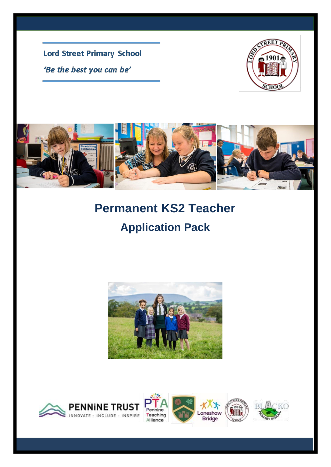**Lord Street Primary School** 'Be the best you can be'





# **Permanent KS2 Teacher Application Pack**



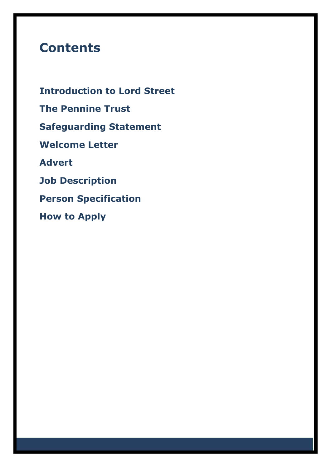## **Contents**

**Introduction to Lord Street The Pennine Trust Safeguarding Statement Welcome Letter Advert Job Description Person Specification How to Apply**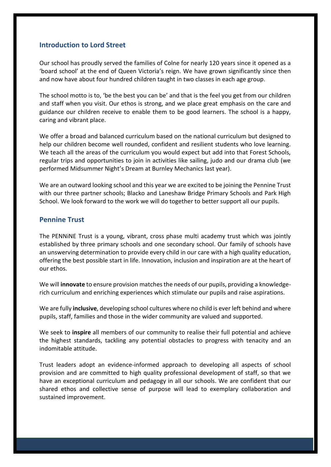### **Introduction to Lord Street**

Our school has proudly served the families of Colne for nearly 120 years since it opened as a 'board school' at the end of Queen Victoria's reign. We have grown significantly since then and now have about four hundred children taught in two classes in each age group.

The school motto is to, 'be the best you can be' and that is the feel you get from our children and staff when you visit. Our ethos is strong, and we place great emphasis on the care and guidance our children receive to enable them to be good learners. The school is a happy, caring and vibrant place.

We offer a broad and balanced curriculum based on the national curriculum but designed to help our children become well rounded, confident and resilient students who love learning. We teach all the areas of the curriculum you would expect but add into that Forest Schools, regular trips and opportunities to join in activities like sailing, judo and our drama club (we performed Midsummer Night's Dream at Burnley Mechanics last year).

We are an outward looking school and this year we are excited to be joining the Pennine Trust with our three partner schools; Blacko and Laneshaw Bridge Primary Schools and Park High School. We look forward to the work we will do together to better support all our pupils.

#### **Pennine Trust**

The PENNiNE Trust is a young, vibrant, cross phase multi academy trust which was jointly established by three primary schools and one secondary school. Our family of schools have an unswerving determination to provide every child in our care with a high quality education, offering the best possible start in life. Innovation, inclusion and inspiration are at the heart of our ethos.

We will **innovate** to ensure provision matches the needs of our pupils, providing a knowledgerich curriculum and enriching experiences which stimulate our pupils and raise aspirations.

We are fully **inclusive**, developing school cultures where no child is ever left behind and where pupils, staff, families and those in the wider community are valued and supported.

We seek to **inspire** all members of our community to realise their full potential and achieve the highest standards, tackling any potential obstacles to progress with tenacity and an indomitable attitude.

Trust leaders adopt an evidence-informed approach to developing all aspects of school provision and are committed to high quality professional development of staff, so that we have an exceptional curriculum and pedagogy in all our schools. We are confident that our shared ethos and collective sense of purpose will lead to exemplary collaboration and sustained improvement.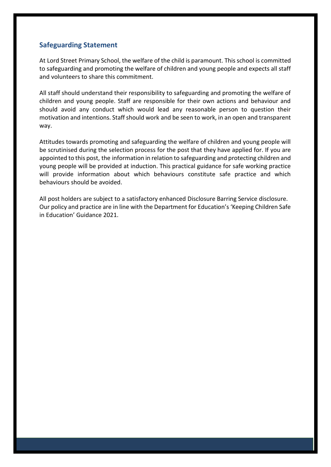## **Safeguarding Statement**

At Lord Street Primary School, the welfare of the child is paramount. This school is committed to safeguarding and promoting the welfare of children and young people and expects all staff and volunteers to share this commitment.

All staff should understand their responsibility to safeguarding and promoting the welfare of children and young people. Staff are responsible for their own actions and behaviour and should avoid any conduct which would lead any reasonable person to question their motivation and intentions. Staff should work and be seen to work, in an open and transparent way.

Attitudes towards promoting and safeguarding the welfare of children and young people will be scrutinised during the selection process for the post that they have applied for. If you are appointed to this post, the information in relation to safeguarding and protecting children and young people will be provided at induction. This practical guidance for safe working practice will provide information about which behaviours constitute safe practice and which behaviours should be avoided.

All post holders are subject to a satisfactory enhanced Disclosure Barring Service disclosure. Our policy and practice are in line with the Department for Education's 'Keeping Children Safe in Education' Guidance 2021.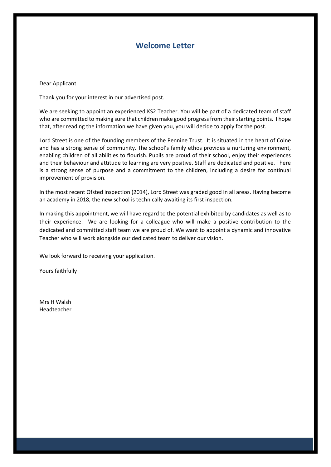## **Welcome Letter**

Dear Applicant

Thank you for your interest in our advertised post.

We are seeking to appoint an experienced KS2 Teacher. You will be part of a dedicated team of staff who are committed to making sure that children make good progress from their starting points. I hope that, after reading the information we have given you, you will decide to apply for the post.

Lord Street is one of the founding members of the Pennine Trust. It is situated in the heart of Colne and has a strong sense of community. The school's family ethos provides a nurturing environment, enabling children of all abilities to flourish. Pupils are proud of their school, enjoy their experiences and their behaviour and attitude to learning are very positive. Staff are dedicated and positive. There is a strong sense of purpose and a commitment to the children, including a desire for continual improvement of provision.

In the most recent Ofsted inspection (2014), Lord Street was graded good in all areas. Having become an academy in 2018, the new school is technically awaiting its first inspection.

In making this appointment, we will have regard to the potential exhibited by candidates as well as to their experience. We are looking for a colleague who will make a positive contribution to the dedicated and committed staff team we are proud of. We want to appoint a dynamic and innovative Teacher who will work alongside our dedicated team to deliver our vision.

We look forward to receiving your application.

Yours faithfully

Mrs H Walsh Headteacher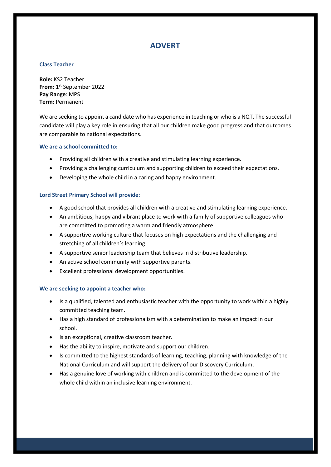## **ADVERT**

#### **Class Teacher**

**Role:** KS2 Teacher **From:** 1 st September 2022 **Pay Range**: MPS **Term:** Permanent

We are seeking to appoint a candidate who has experience in teaching or who is a NQT. The successful candidate will play a key role in ensuring that all our children make good progress and that outcomes are comparable to national expectations.

#### **We are a school committed to:**

- Providing all children with a creative and stimulating learning experience.
- Providing a challenging curriculum and supporting children to exceed their expectations.
- Developing the whole child in a caring and happy environment.

#### **Lord Street Primary School will provide:**

- A good school that provides all children with a creative and stimulating learning experience.
- An ambitious, happy and vibrant place to work with a family of supportive colleagues who are committed to promoting a warm and friendly atmosphere.
- A supportive working culture that focuses on high expectations and the challenging and stretching of all children's learning.
- A supportive senior leadership team that believes in distributive leadership.
- An active school community with supportive parents.
- Excellent professional development opportunities.

#### **We are seeking to appoint a teacher who:**

- Is a qualified, talented and enthusiastic teacher with the opportunity to work within a highly committed teaching team.
- Has a high standard of professionalism with a determination to make an impact in our school.
- Is an exceptional, creative classroom teacher.
- Has the ability to inspire, motivate and support our children.
- Is committed to the highest standards of learning, teaching, planning with knowledge of the National Curriculum and will support the delivery of our Discovery Curriculum.
- Has a genuine love of working with children and is committed to the development of the whole child within an inclusive learning environment.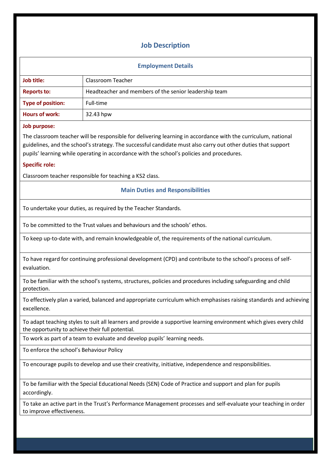## **Job Description**

#### **Employment Details**

| Job title:         | Classroom Teacher                                     |  |
|--------------------|-------------------------------------------------------|--|
| <b>Reports to:</b> | Headteacher and members of the senior leadership team |  |
| Type of position:  | Full-time                                             |  |
| Hours of work:     | 32.43 hpw                                             |  |

#### **Job purpose:**

The classroom teacher will be responsible for delivering learning in accordance with the curriculum, national guidelines, and the school's strategy. The successful candidate must also carry out other duties that support pupils' learning while operating in accordance with the school's policies and procedures.

#### **Specific role:**

Classroom teacher responsible for teaching a KS2 class.

#### **Main Duties and Responsibilities**

To undertake your duties, as required by the Teacher Standards.

To be committed to the Trust values and behaviours and the schools' ethos.

To keep up-to-date with, and remain knowledgeable of, the requirements of the national curriculum.

To have regard for continuing professional development (CPD) and contribute to the school's process of selfevaluation.

To be familiar with the school's systems, structures, policies and procedures including safeguarding and child protection.

To effectively plan a varied, balanced and appropriate curriculum which emphasises raising standards and achieving excellence.

To adapt teaching styles to suit all learners and provide a supportive learning environment which gives every child the opportunity to achieve their full potential.

To work as part of a team to evaluate and develop pupils' learning needs.

To enforce the school's Behaviour Policy

To encourage pupils to develop and use their creativity, initiative, independence and responsibilities.

To be familiar with the Special Educational Needs (SEN) Code of Practice and support and plan for pupils accordingly.

To take an active part in the Trust's Performance Management processes and self-evaluate your teaching in order to improve effectiveness.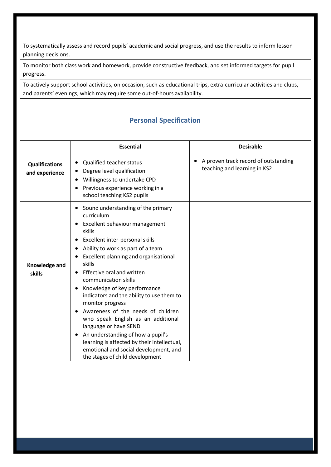To systematically assess and record pupils' academic and social progress, and use the results to inform lesson planning decisions.

To monitor both class work and homework, provide constructive feedback, and set informed targets for pupil progress.

To actively support school activities, on occasion, such as educational trips, extra-curricular activities and clubs, and parents' evenings, which may require some out-of-hours availability.

## **Personal Specification**

|                                         | <b>Essential</b>                                                                                                                                                                                                                                                                                                                                                                                                                                                                                                                                                                                                                                    | <b>Desirable</b>                                                     |
|-----------------------------------------|-----------------------------------------------------------------------------------------------------------------------------------------------------------------------------------------------------------------------------------------------------------------------------------------------------------------------------------------------------------------------------------------------------------------------------------------------------------------------------------------------------------------------------------------------------------------------------------------------------------------------------------------------------|----------------------------------------------------------------------|
| <b>Qualifications</b><br>and experience | <b>Qualified teacher status</b><br>Degree level qualification<br>Willingness to undertake CPD<br>Previous experience working in a<br>school teaching KS2 pupils                                                                                                                                                                                                                                                                                                                                                                                                                                                                                     | A proven track record of outstanding<br>teaching and learning in KS2 |
| Knowledge and<br>skills                 | Sound understanding of the primary<br>curriculum<br>Excellent behaviour management<br>skills<br>Excellent inter-personal skills<br>Ability to work as part of a team<br>Excellent planning and organisational<br>skills<br>Effective oral and written<br>communication skills<br>Knowledge of key performance<br>indicators and the ability to use them to<br>monitor progress<br>Awareness of the needs of children<br>who speak English as an additional<br>language or have SEND<br>An understanding of how a pupil's<br>learning is affected by their intellectual,<br>emotional and social development, and<br>the stages of child development |                                                                      |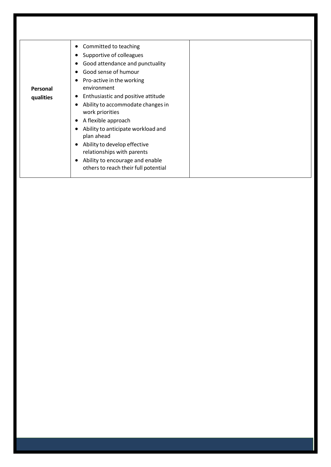| Committed to teaching                                                   |  |
|-------------------------------------------------------------------------|--|
| Supportive of colleagues                                                |  |
| Good attendance and punctuality                                         |  |
| Good sense of humour                                                    |  |
| Pro-active in the working                                               |  |
| environment                                                             |  |
| Enthusiastic and positive attitude                                      |  |
| Ability to accommodate changes in<br>work priorities                    |  |
| A flexible approach<br>$\bullet$                                        |  |
| Ability to anticipate workload and<br>plan ahead                        |  |
| Ability to develop effective<br>$\bullet$<br>relationships with parents |  |
| Ability to encourage and enable<br>others to reach their full potential |  |
|                                                                         |  |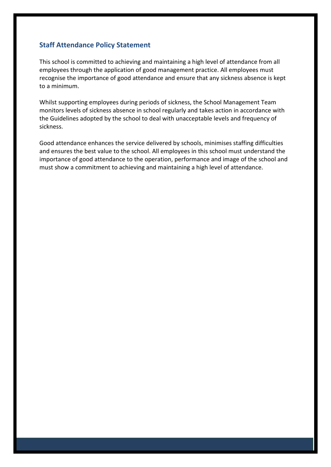## **Staff Attendance Policy Statement**

This school is committed to achieving and maintaining a high level of attendance from all employees through the application of good management practice. All employees must recognise the importance of good attendance and ensure that any sickness absence is kept to a minimum.

Whilst supporting employees during periods of sickness, the School Management Team monitors levels of sickness absence in school regularly and takes action in accordance with the Guidelines adopted by the school to deal with unacceptable levels and frequency of sickness.

Good attendance enhances the service delivered by schools, minimises staffing difficulties and ensures the best value to the school. All employees in this school must understand the importance of good attendance to the operation, performance and image of the school and must show a commitment to achieving and maintaining a high level of attendance.